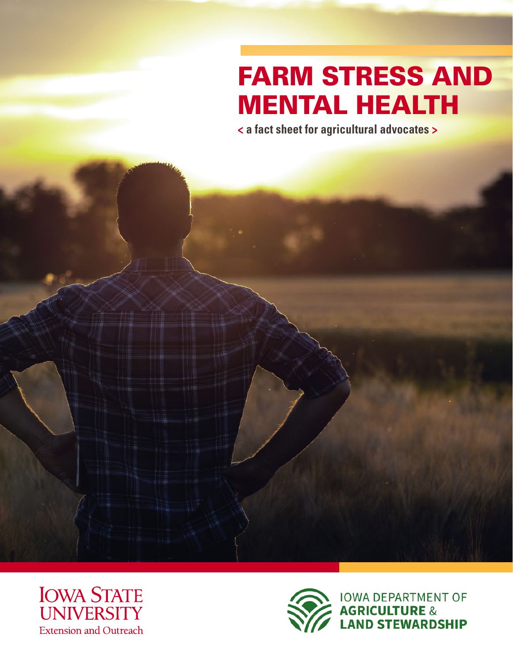# FARM STRESS AND MENTAL HEALTH

**< a fact sheet for agricultural advocates >** 



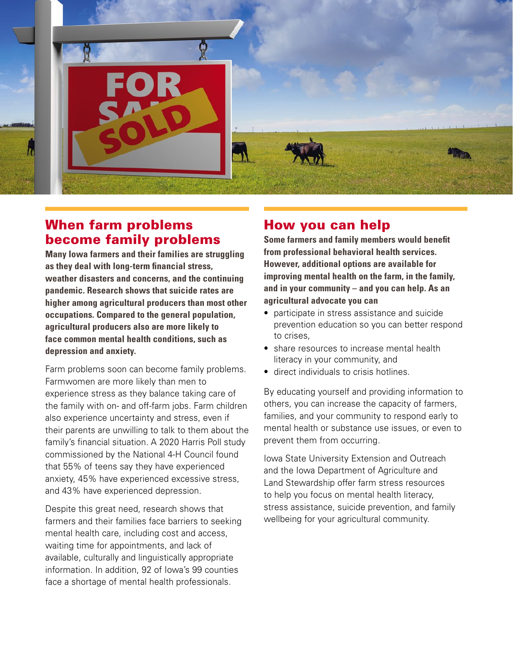

### When farm problems become family problems

**Many Iowa farmers and their families are struggling as they deal with long-term financial stress, weather disasters and concerns, and the continuing pandemic. Research shows that suicide rates are higher among agricultural producers than most other occupations. Compared to the general population, agricultural producers also are more likely to face common mental health conditions, such as depression and anxiety.**

Farm problems soon can become family problems. Farmwomen are more likely than men to experience stress as they balance taking care of the family with on- and off-farm jobs. Farm children also experience uncertainty and stress, even if their parents are unwilling to talk to them about the family's financial situation. A 2020 Harris Poll study commissioned by the National 4-H Council found that 55% of teens say they have experienced anxiety, 45% have experienced excessive stress, and 43% have experienced depression.

Despite this great need, research shows that farmers and their families face barriers to seeking mental health care, including cost and access, waiting time for appointments, and lack of available, culturally and linguistically appropriate information. In addition, 92 of Iowa's 99 counties face a shortage of mental health professionals.

## How you can help

**Some farmers and family members would benefit from professional behavioral health services. However, additional options are available for improving mental health on the farm, in the family, and in your community – and you can help. As an agricultural advocate you can**

- participate in stress assistance and suicide prevention education so you can better respond to crises,
- share resources to increase mental health literacy in your community, and
- direct individuals to crisis hotlines.

By educating yourself and providing information to others, you can increase the capacity of farmers, families, and your community to respond early to mental health or substance use issues, or even to prevent them from occurring.

Iowa State University Extension and Outreach and the Iowa Department of Agriculture and Land Stewardship offer farm stress resources to help you focus on mental health literacy, stress assistance, suicide prevention, and family wellbeing for your agricultural community.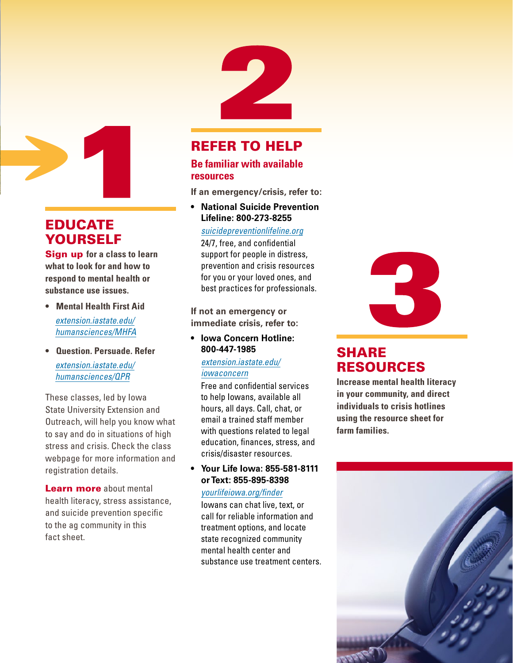

## EDUCATE YOURSELF

Sign up **for a class to learn what to look for and how to respond to mental health or substance use issues.** 

- **• Mental Health First Aid** *[extension.iastate.edu/](https://www.extension.iastate.edu/humansciences/MHFA) [humansciences/MHFA](https://www.extension.iastate.edu/humansciences/MHFA)*
- **• Question. Persuade. Refer** *[extension.iastate.edu/](https://www.extension.iastate.edu/humansciences/QPR) [humansciences/QPR](https://www.extension.iastate.edu/humansciences/QPR)*

These classes, led by Iowa State University Extension and Outreach, will help you know what to say and do in situations of high stress and crisis. Check the class webpage for more information and registration details.

Learn more about mental health literacy, stress assistance, and suicide prevention specific to the ag community in this fact sheet.

# REFER TO HELP

#### **Be familiar with available resources**

**If an emergency/crisis, refer to:**

**• National Suicide Prevention Lifeline: 800-273-8255**

*[suicidepreventionlifeline.org](https://www.suicidepreventionlifeline.org)*

24/7, free, and confidential support for people in distress, prevention and crisis resources for you or your loved ones, and best practices for professionals.

**If not an emergency or immediate crisis, refer to:**

**• Iowa Concern Hotline: 800-447-1985**

> *[extension.iastate.edu/](https://www.extension.iastate.edu/iowaconcern) [iowaconcern](https://www.extension.iastate.edu/iowaconcern)*

Free and confidential services to help Iowans, available all hours, all days. Call, chat, or email a trained staff member with questions related to legal education, finances, stress, and crisis/disaster resources.

**• Your Life Iowa: 855-581-8111 or Text: 855-895-8398**

#### *[yourlifeiowa.org/finder](http://yourlifeiowa.org/finder)*

Iowans can chat live, text, or call for reliable information and treatment options, and locate state recognized community mental health center and substance use treatment centers.



## SHARE RESOURCES

**Increase mental health literacy in your community, and direct individuals to crisis hotlines using the resource sheet for farm families.**

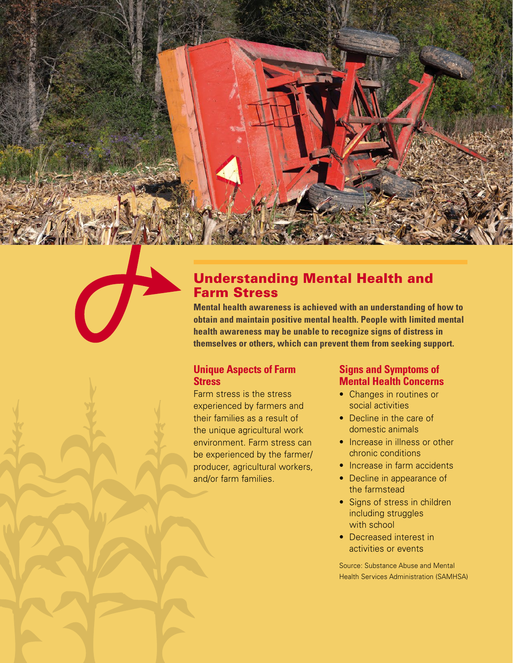## Understanding Mental Health and Farm Stress

**Mental health awareness is achieved with an understanding of how to obtain and maintain positive mental health. People with limited mental health awareness may be unable to recognize signs of distress in themselves or others, which can prevent them from seeking support.**

#### **Unique Aspects of Farm Stress**

Farm stress is the stress experienced by farmers and their families as a result of the unique agricultural work environment. Farm stress can be experienced by the farmer/ producer, agricultural workers, and/or farm families.

#### **Signs and Symptoms of Mental Health Concerns**

- Changes in routines or social activities
- Decline in the care of domestic animals
- Increase in illness or other chronic conditions
- Increase in farm accidents
- Decline in appearance of the farmstead
- Signs of stress in children including struggles with school
- Decreased interest in activities or events

Source: Substance Abuse and Mental Health Services Administration (SAMHSA)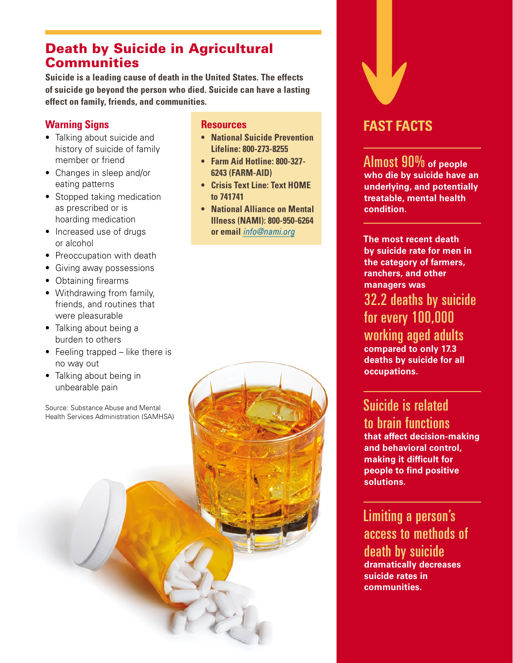### Death by Suicide in Agricultural **Communities**

**Suicide is a leading cause of death in the United States. The effects of suicide go beyond the person who died. Suicide can have a lasting effect on family, friends, and communities.**

#### **Warning Signs**

- Talking about suicide and history of suicide of family member or friend
- Changes in sleep and/or eating patterns
- Stopped taking medication as prescribed or is hoarding medication
- Increased use of drugs or alcohol
- Preoccupation with death
- Giving away possessions
- Obtaining firearms
- Withdrawing from family, friends, and routines that were pleasurable
- Talking about being a burden to others
- Feeling trapped like there is no way out
- Talking about being in unbearable pain

Source: Substance Abuse and Mental Health Services Administration (SAMHSA)

#### **Resources**

- **• National Suicide Prevention Lifeline: 800-273-8255**
- **• Farm Aid Hotline: 800-327- 6243 (FARM-AID)**
- **• Crisis Text Line: Text HOME to 741741**
- **• National Alliance on Mental Illness (NAMI): 800-950-6264 or email** *[info@nami.org](mailto:info@nami.org)*



## **FAST FACTS**

Almost 90% **of people who die by suicide have an underlying, and potentially treatable, mental health condition.**

**The most recent death by suicide rate for men in the category of farmers, ranchers, and other managers was** 

32.2 deaths by suicide for every 100,000 working aged adults **compared to only 17.3** 

**deaths by suicide for all occupations.**

# Suicide is related to brain functions

**that affect decision-making and behavioral control, making it difficult for people to find positive solutions.**

Limiting a person's access to methods of death by suicide **dramatically decreases suicide rates in communities.**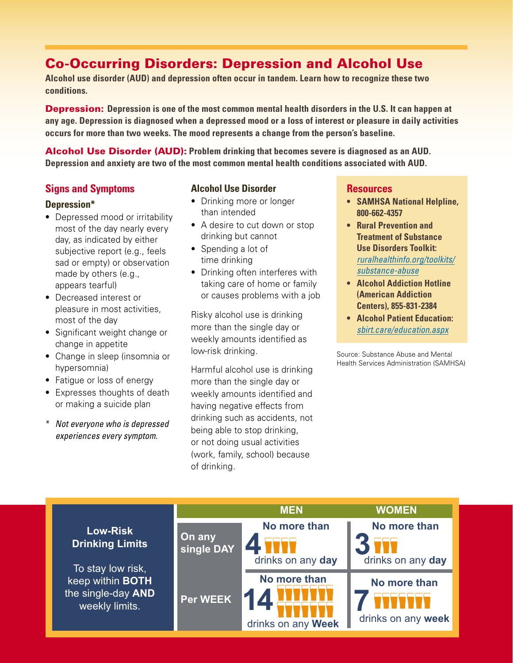# Co-Occurring Disorders: Depression and Alcohol Use

**Alcohol use disorder (AUD) and depression often occur in tandem. Learn how to recognize these two conditions.**

Depression: **Depression is one of the most common mental health disorders in the U.S. It can happen at any age. Depression is diagnosed when a depressed mood or a loss of interest or pleasure in daily activities occurs for more than two weeks. The mood represents a change from the person's baseline.**

Alcohol Use Disorder (AUD): **Problem drinking that becomes severe is diagnosed as an AUD. Depression and anxiety are two of the most common mental health conditions associated with AUD.**

#### **Signs and Symptoms**

#### **Depression\***

- Depressed mood or irritability most of the day nearly every day, as indicated by either subjective report (e.g., feels sad or empty) or observation made by others (e.g., appears tearful)
- Decreased interest or pleasure in most activities, most of the day
- Significant weight change or change in appetite
- Change in sleep (insomnia or hypersomnia)
- Fatigue or loss of energy
- Expresses thoughts of death or making a suicide plan
- \* *Not everyone who is depressed experiences every symptom.*

#### **Alcohol Use Disorder**

- Drinking more or longer than intended
- A desire to cut down or stop drinking but cannot
- Spending a lot of time drinking
- Drinking often interferes with taking care of home or family or causes problems with a job

Risky alcohol use is drinking more than the single day or weekly amounts identified as low-risk drinking.

Harmful alcohol use is drinking more than the single day or weekly amounts identified and having negative effects from drinking such as accidents, not being able to stop drinking, or not doing usual activities (work, family, school) because of drinking.

#### **Resources**

- **• SAMHSA National Helpline, 800-662-4357**
- **• Rural Prevention and Treatment of Substance Use Disorders Toolkit:**  *[ruralhealthinfo.org/toolkits/](https://ruralhealthinfo.org/toolkits/substance-abuse) [substance-abuse](https://ruralhealthinfo.org/toolkits/substance-abuse)*
- **• Alcohol Addiction Hotline (American Addiction Centers), 855-831-2384**
- **• Alcohol Patient Education:**  *[sbirt.care/education.aspx](https://sbirt.care/education.aspx)*

Source: Substance Abuse and Mental Health Services Administration (SAMHSA)

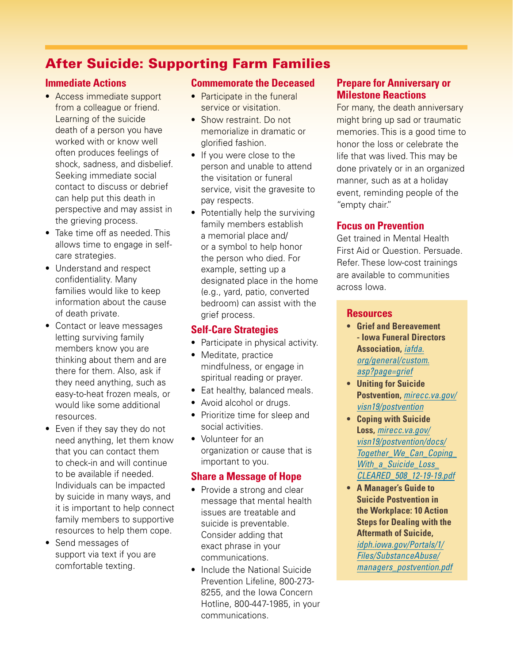## After Suicide: Supporting Farm Families

#### **Immediate Actions**

- Access immediate support from a colleague or friend. Learning of the suicide death of a person you have worked with or know well often produces feelings of shock, sadness, and disbelief. Seeking immediate social contact to discuss or debrief can help put this death in perspective and may assist in the grieving process.
- Take time off as needed. This allows time to engage in selfcare strategies.
- Understand and respect confidentiality. Many families would like to keep information about the cause of death private.
- Contact or leave messages letting surviving family members know you are thinking about them and are there for them. Also, ask if they need anything, such as easy-to-heat frozen meals, or would like some additional resources.
- Even if they say they do not need anything, let them know that you can contact them to check-in and will continue to be available if needed. Individuals can be impacted by suicide in many ways, and it is important to help connect family members to supportive resources to help them cope.
- Send messages of support via text if you are comfortable texting.

#### **Commemorate the Deceased**

- Participate in the funeral service or visitation.
- Show restraint. Do not memorialize in dramatic or glorified fashion.
- If you were close to the person and unable to attend the visitation or funeral service, visit the gravesite to pay respects.
- Potentially help the surviving family members establish a memorial place and/ or a symbol to help honor the person who died. For example, setting up a designated place in the home (e.g., yard, patio, converted bedroom) can assist with the grief process.

#### **Self-Care Strategies**

- Participate in physical activity.
- Meditate, practice mindfulness, or engage in spiritual reading or prayer.
- Eat healthy, balanced meals.
- Avoid alcohol or drugs.
- Prioritize time for sleep and social activities.
- Volunteer for an organization or cause that is important to you.

#### **Share a Message of Hope**

- Provide a strong and clear message that mental health issues are treatable and suicide is preventable. Consider adding that exact phrase in your communications.
- Include the National Suicide Prevention Lifeline, 800-273- 8255, and the Iowa Concern Hotline, 800-447-1985, in your communications.

#### **Prepare for Anniversary or Milestone Reactions**

For many, the death anniversary might bring up sad or traumatic memories. This is a good time to honor the loss or celebrate the life that was lived. This may be done privately or in an organized manner, such as at a holiday event, reminding people of the "empty chair."

#### **Focus on Prevention**

Get trained in Mental Health First Aid or Question. Persuade. Refer. These low-cost trainings are available to communities across Iowa.

#### **Resources**

- **• Grief and Bereavement - Iowa Funeral Directors Association,** *[iafda.](https://www.iafda.org/general/custom.asp?page=grief) [org/general/custom.](https://www.iafda.org/general/custom.asp?page=grief) [asp?page=grief](https://www.iafda.org/general/custom.asp?page=grief)*
- **• Uniting for Suicide Postvention,** *[mirecc.va.gov/](https://www.mirecc.va.gov/visn19/postvention) [visn19/postvention](https://www.mirecc.va.gov/visn19/postvention)*
- **• Coping with Suicide Loss,** *[mirecc.va.gov/](https://www.mirecc.va.gov/visn19/postvention/docs/Together_We_Can_Coping_With_a_Suicide_Loss_CLEARED_508_12-19-19.pdf) [visn19/postvention/docs/](https://www.mirecc.va.gov/visn19/postvention/docs/Together_We_Can_Coping_With_a_Suicide_Loss_CLEARED_508_12-19-19.pdf) [Together\\_We\\_Can\\_Coping\\_](https://www.mirecc.va.gov/visn19/postvention/docs/Together_We_Can_Coping_With_a_Suicide_Loss_CLEARED_508_12-19-19.pdf) [With\\_a\\_Suicide\\_Loss\\_](https://www.mirecc.va.gov/visn19/postvention/docs/Together_We_Can_Coping_With_a_Suicide_Loss_CLEARED_508_12-19-19.pdf) [CLEARED\\_508\\_12-19-19.pdf](https://www.mirecc.va.gov/visn19/postvention/docs/Together_We_Can_Coping_With_a_Suicide_Loss_CLEARED_508_12-19-19.pdf)*
- **• A Manager's Guide to Suicide Postvention in the Workplace: 10 Action Steps for Dealing with the Aftermath of Suicide,**  *[idph.iowa.gov/Portals/1/](https://idph.iowa.gov/Portals/1/Files/SubstanceAbuse/managers_postvention.pdf) [Files/SubstanceAbuse/](https://idph.iowa.gov/Portals/1/Files/SubstanceAbuse/managers_postvention.pdf) [managers\\_postvention.pdf](https://idph.iowa.gov/Portals/1/Files/SubstanceAbuse/managers_postvention.pdf)*